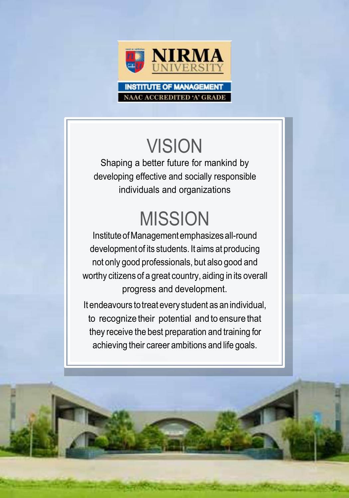

**AC ACCREDITED 'A' GR** 

### **VISION**

Shaping a better future for mankind by developing effective and socially responsible individuals and organizations

# MISSION

InstituteofManagementemphasizesall-round developmentof its students. Itaims at producing not only good professionals, but also good and worthy citizens of a great country, aiding in its overall progress and development.

It endeavours totreat everystudent as anindividual, to recognize their potential and to ensure that they receive the best preparation and training for achieving their career ambitions and life goals.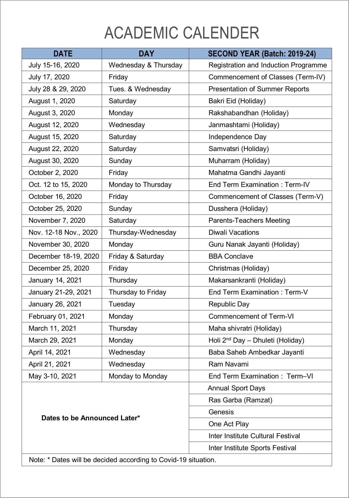## ACADEMIC CALENDER

| <b>DATE</b>                  | <b>DAY</b>                                                     | SECOND YEAR (Batch: 2019-24)                 |
|------------------------------|----------------------------------------------------------------|----------------------------------------------|
| July 15-16, 2020             | Wednesday & Thursday                                           | Registration and Induction Programme         |
| July 17, 2020                | Fridav                                                         | Commencement of Classes (Term-IV)            |
| July 28 & 29, 2020           | Tues. & Wednesday                                              | Presentation of Summer Reports               |
| August 1, 2020               | Saturday                                                       | Bakri Eid (Holiday)                          |
| August 3, 2020               | Monday                                                         | Rakshabandhan (Holiday)                      |
| August 12, 2020              | Wednesday                                                      | Janmashtami (Holiday)                        |
| August 15, 2020              | Saturday                                                       | Independence Day                             |
| August 22, 2020              | Saturday                                                       | Samvatsri (Holiday)                          |
| August 30, 2020              | Sunday                                                         | Muharram (Holiday)                           |
| October 2, 2020              | Fridav                                                         | Mahatma Gandhi Jayanti                       |
| Oct. 12 to 15, 2020          | Monday to Thursday                                             | End Term Examination : Term-IV               |
| October 16, 2020             | Friday                                                         | Commencement of Classes (Term-V)             |
| October 25, 2020             | Sunday                                                         | Dusshera (Holiday)                           |
| November 7, 2020             | Saturday                                                       | Parents-Teachers Meeting                     |
| Nov. 12-18 Nov., 2020        | Thursday-Wednesday                                             | Diwali Vacations                             |
| November 30, 2020            | Monday                                                         | Guru Nanak Jayanti (Holiday)                 |
| December 18-19, 2020         | Friday & Saturday                                              | <b>BBA Conclave</b>                          |
| December 25, 2020            | Friday                                                         | Christmas (Holiday)                          |
| January 14, 2021             | Thursday                                                       | Makarsankranti (Holiday)                     |
| January 21-29, 2021          | Thursday to Friday                                             | End Term Examination : Term-V                |
| January 26, 2021             | Tuesday                                                        | Republic Day                                 |
| February 01, 2021            | Monday                                                         | Commencement of Term-VI                      |
| March 11, 2021               | Thursday                                                       | Maha shivratri (Holiday)                     |
| March 29, 2021               | Monday                                                         | Holi 2 <sup>nd</sup> Day - Dhuleti (Holiday) |
| April 14, 2021               | Wednesday                                                      | Baba Saheb Ambedkar Jayanti                  |
| April 21, 2021               | Wednesday                                                      | Ram Navami                                   |
| May 3-10, 2021               | Monday to Monday                                               | End Term Examination: Term-VI                |
| Dates to be Announced Later* |                                                                | <b>Annual Sport Days</b>                     |
|                              |                                                                | Ras Garba (Ramzat)                           |
|                              |                                                                | Genesis                                      |
|                              |                                                                | One Act Play                                 |
|                              |                                                                | Inter Institute Cultural Festival            |
|                              |                                                                | Inter Institute Sports Festival              |
|                              | Note: * Dates will be decided according to Covid-19 situation. |                                              |